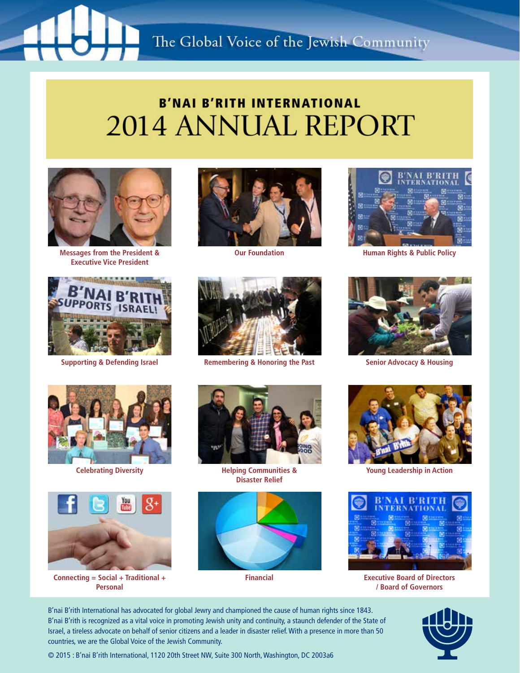### The Global Voice of the Jewish Community

### **B'NAI B'RITH INTERNATIONAL 2014 ANNUAL REPORT**



**Messages from the President & Executive Vice President**



**Supporting & Defending Israel**



**Our Foundation**



**Remembering & Honoring the Past**



**Human Rights & Public Policy**



**Senior Advocacy & Housing**



**Celebrating Diversity**



**Connecting = Social + Traditional + Personal**



**Helping Communities & Disaster Relief**



**Financial**



**Young Leadership in Action**



**Executive Board of Directors / Board of Governors**

B'nai B'rith International has advocated for global Jewry and championed the cause of human rights since 1843. B'nai B'rith is recognized as a vital voice in promoting Jewish unity and continuity, a staunch defender of the State of Israel, a tireless advocate on behalf of senior citizens and a leader in disaster relief. With a presence in more than 50 countries, we are the Global Voice of the Jewish Community.



© 2015 : B'nai B'rith International, 1120 20th Street NW, Suite 300 North, Washington, DC 2003a6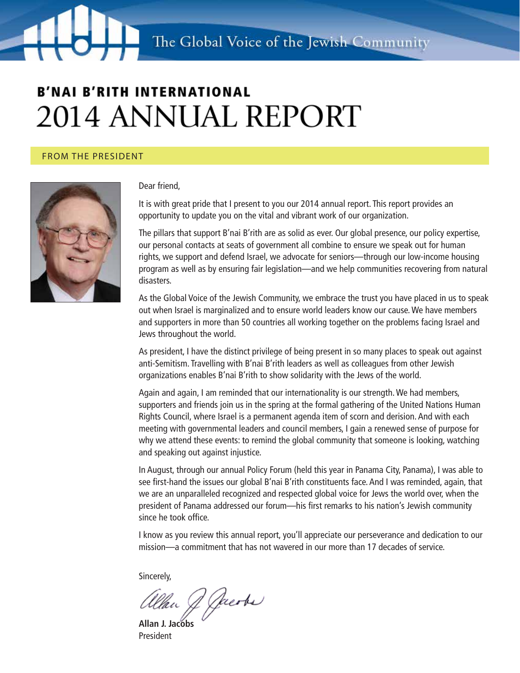#### From the President



#### Dear friend,

It is with great pride that I present to you our 2014 annual report. This report provides an opportunity to update you on the vital and vibrant work of our organization.

The pillars that support B'nai B'rith are as solid as ever. Our global presence, our policy expertise, our personal contacts at seats of government all combine to ensure we speak out for human rights, we support and defend Israel, we advocate for seniors—through our low-income housing program as well as by ensuring fair legislation—and we help communities recovering from natural disasters.

As the Global Voice of the Jewish Community, we embrace the trust you have placed in us to speak out when Israel is marginalized and to ensure world leaders know our cause. We have members and supporters in more than 50 countries all working together on the problems facing Israel and Jews throughout the world.

As president, I have the distinct privilege of being present in so many places to speak out against anti-Semitism. Travelling with B'nai B'rith leaders as well as colleagues from other Jewish organizations enables B'nai B'rith to show solidarity with the Jews of the world.

Again and again, I am reminded that our internationality is our strength. We had members, supporters and friends join us in the spring at the formal gathering of the United Nations Human Rights Council, where Israel is a permanent agenda item of scorn and derision. And with each meeting with governmental leaders and council members, I gain a renewed sense of purpose for why we attend these events: to remind the global community that someone is looking, watching and speaking out against injustice.

In August, through our annual Policy Forum (held this year in Panama City, Panama), I was able to see first-hand the issues our global B'nai B'rith constituents face. And I was reminded, again, that we are an unparalleled recognized and respected global voice for Jews the world over, when the president of Panama addressed our forum—his first remarks to his nation's Jewish community since he took office.

I know as you review this annual report, you'll appreciate our perseverance and dedication to our mission—a commitment that has not wavered in our more than 17 decades of service.

Sincerely,

Uan J Jacobs

**Allan J. Jacobs** President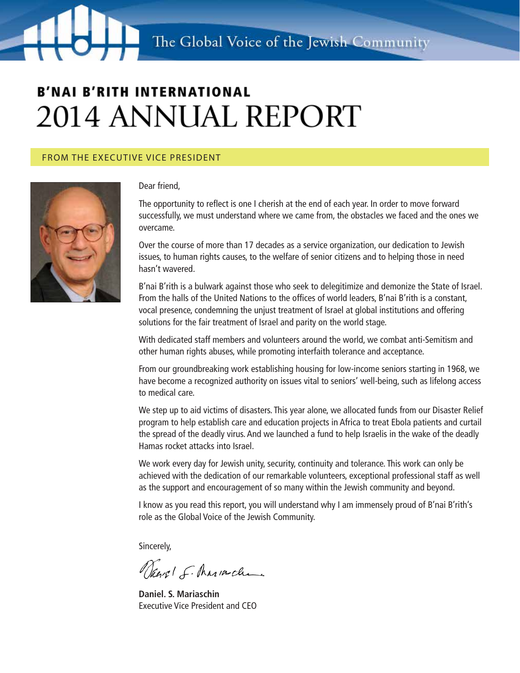#### From the Executive vice President



#### Dear friend,

The opportunity to reflect is one I cherish at the end of each year. In order to move forward successfully, we must understand where we came from, the obstacles we faced and the ones we overcame.

Over the course of more than 17 decades as a service organization, our dedication to Jewish issues, to human rights causes, to the welfare of senior citizens and to helping those in need hasn't wavered.

B'nai B'rith is a bulwark against those who seek to delegitimize and demonize the State of Israel. From the halls of the United Nations to the offices of world leaders, B'nai B'rith is a constant, vocal presence, condemning the unjust treatment of Israel at global institutions and offering solutions for the fair treatment of Israel and parity on the world stage.

With dedicated staff members and volunteers around the world, we combat anti-Semitism and other human rights abuses, while promoting interfaith tolerance and acceptance.

From our groundbreaking work establishing housing for low-income seniors starting in 1968, we have become a recognized authority on issues vital to seniors' well-being, such as lifelong access to medical care.

We step up to aid victims of disasters. This year alone, we allocated funds from our Disaster Relief program to help establish care and education projects in Africa to treat Ebola patients and curtail the spread of the deadly virus. And we launched a fund to help Israelis in the wake of the deadly Hamas rocket attacks into Israel.

We work every day for Jewish unity, security, continuity and tolerance. This work can only be achieved with the dedication of our remarkable volunteers, exceptional professional staff as well as the support and encouragement of so many within the Jewish community and beyond.

I know as you read this report, you will understand why I am immensely proud of B'nai B'rith's role as the Global Voice of the Jewish Community.

Sincerely,

Vierel F. Mariachan

**Daniel. S. Mariaschin** Executive Vice President and CEO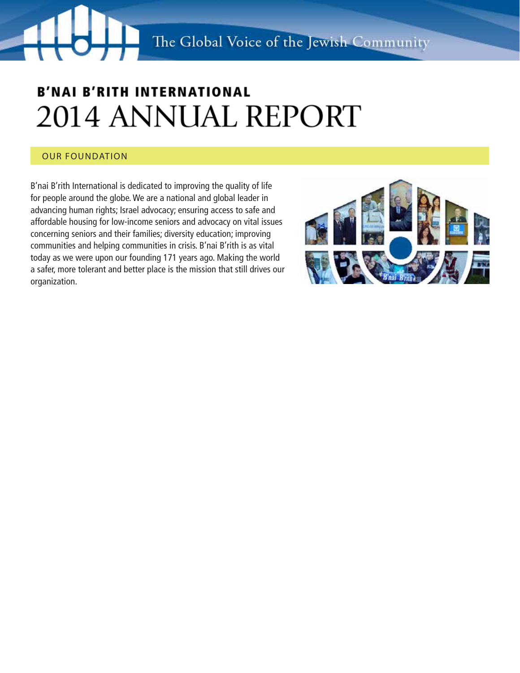### Our Foundation

B'nai B'rith International is dedicated to improving the quality of life for people around the globe. We are a national and global leader in advancing human rights; Israel advocacy; ensuring access to safe and affordable housing for low-income seniors and advocacy on vital issues concerning seniors and their families; diversity education; improving communities and helping communities in crisis. B'nai B'rith is as vital today as we were upon our founding 171 years ago. Making the world a safer, more tolerant and better place is the mission that still drives our organization.

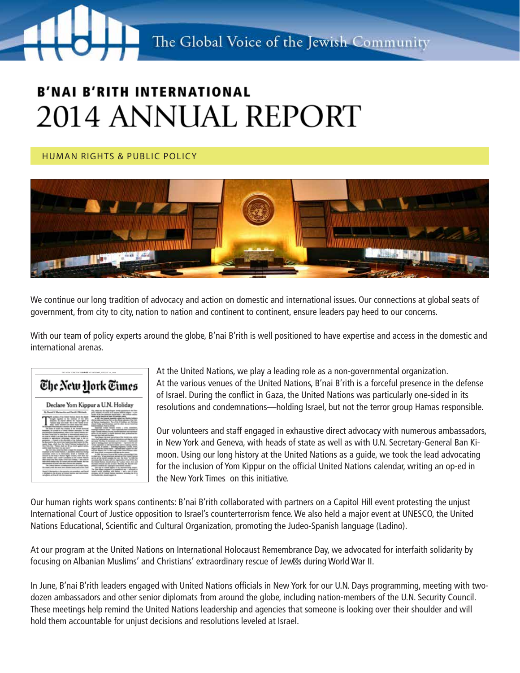Human Rights & Public Policy



We continue our long tradition of advocacy and action on domestic and international issues. Our connections at global seats of government, from city to city, nation to nation and continent to continent, ensure leaders pay heed to our concerns.

With our team of policy experts around the globe, B'nai B'rith is well positioned to have expertise and access in the domestic and international arenas.



At the United Nations, we play a leading role as a non-governmental organization. At the various venues of the United Nations, B'nai B'rith is a forceful presence in the defense of Israel. During the conflict in Gaza, the United Nations was particularly one-sided in its resolutions and condemnations—holding Israel, but not the terror group Hamas responsible.

Our volunteers and staff engaged in exhaustive direct advocacy with numerous ambassadors, in New York and Geneva, with heads of state as well as with U.N. Secretary-General Ban Kimoon. Using our long history at the United Nations as a guide, we took the lead advocating for the inclusion of Yom Kippur on the official United Nations calendar, writing an op-ed in the New York Times on this initiative.

Our human rights work spans continents: B'nai B'rith collaborated with partners on a Capitol Hill event protesting the unjust International Court of Justice opposition to Israel's counterterrorism fence. We also held a major event at UNESCO, the United Nations Educational, Scientific and Cultural Organization, promoting the Judeo-Spanish language (Ladino).

At our program at the United Nations on International Holocaust Remembrance Day, we advocated for interfaith solidarity by focusing on Albanian Muslims' and Christians' extraordinary rescue of Jew s during World War II.

In June, B'nai B'rith leaders engaged with United Nations officials in New York for our U.N. Days programming, meeting with twodozen ambassadors and other senior diplomats from around the globe, including nation-members of the U.N. Security Council. These meetings help remind the United Nations leadership and agencies that someone is looking over their shoulder and will hold them accountable for unjust decisions and resolutions leveled at Israel.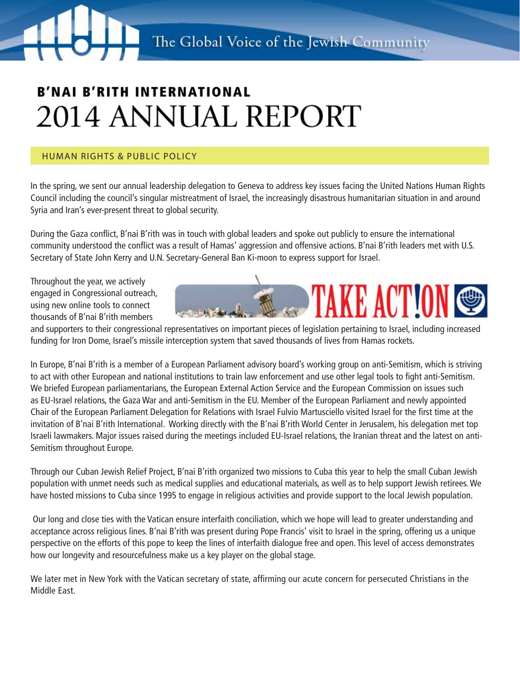### Human Rights & Public Policy

In the spring, we sent our annual leadership delegation to Geneva to address key issues facing the United Nations Human Rights Council including the council's singular mistreatment of Israel, the increasingly disastrous humanitarian situation in and around Syria and Iran's ever-present threat to global security.

During the Gaza conflict, B'nai B'rith was in touch with global leaders and spoke out publicly to ensure the international community understood the conflict was a result of Hamas' aggression and offensive actions. B'nai B'rith leaders met with U.S. Secretary of State John Kerry and U.N. Secretary-General Ban Ki-moon to express support for Israel.

Throughout the year, we actively engaged in Congressional outreach, using new online tools to connect thousands of B'nai B'rith members



and supporters to their congressional representatives on important pieces of legislation pertaining to Israel, including increased funding for Iron Dome, Israel's missile interception system that saved thousands of lives from Hamas rockets.

In Europe, B'nai B'rith is a member of a European Parliament advisory board's working group on anti-Semitism, which is striving to act with other European and national institutions to train law enforcement and use other legal tools to fight anti-Semitism. We briefed European parliamentarians, the European External Action Service and the European Commission on issues such as EU-Israel relations, the Gaza War and anti-Semitism in the EU. Member of the European Parliament and newly appointed Chair of the European Parliament Delegation for Relations with Israel Fulvio Martusciello visited Israel for the first time at the invitation of B'nai B'rith International. Working directly with the B'nai B'rith World Center in Jerusalem, his delegation met top Israeli lawmakers. Major issues raised during the meetings included EU-Israel relations, the Iranian threat and the latest on anti-Semitism throughout Europe.

Through our Cuban Jewish Relief Project, B'nai B'rith organized two missions to Cuba this year to help the small Cuban Jewish population with unmet needs such as medical supplies and educational materials, as well as to help support Jewish retirees. We have hosted missions to Cuba since 1995 to engage in religious activities and provide support to the local Jewish population.

 Our long and close ties with the Vatican ensure interfaith conciliation, which we hope will lead to greater understanding and acceptance across religious lines. B'nai B'rith was present during Pope Francis' visit to Israel in the spring, offering us a unique perspective on the efforts of this pope to keep the lines of interfaith dialogue free and open. This level of access demonstrates how our longevity and resourcefulness make us a key player on the global stage.

We later met in New York with the Vatican secretary of state, affirming our acute concern for persecuted Christians in the Middle East.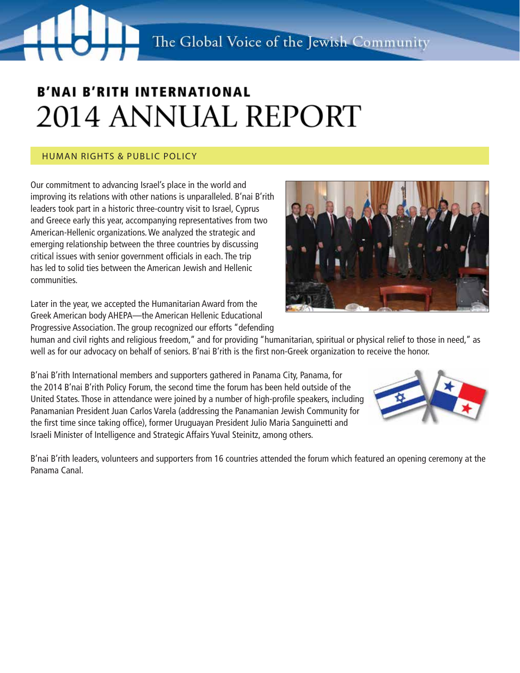### Human Rights & Public Policy

Our commitment to advancing Israel's place in the world and improving its relations with other nations is unparalleled. B'nai B'rith leaders took part in a historic three-country visit to Israel, Cyprus and Greece early this year, accompanying representatives from two American-Hellenic organizations. We analyzed the strategic and emerging relationship between the three countries by discussing critical issues with senior government officials in each. The trip has led to solid ties between the American Jewish and Hellenic communities.

Later in the year, we accepted the Humanitarian Award from the Greek American body AHEPA—the American Hellenic Educational Progressive Association. The group recognized our efforts "defending

human and civil rights and religious freedom," and for providing "humanitarian, spiritual or physical relief to those in need," as well as for our advocacy on behalf of seniors. B'nai B'rith is the first non-Greek organization to receive the honor.

B'nai B'rith International members and supporters gathered in Panama City, Panama, for the 2014 B'nai B'rith Policy Forum, the second time the forum has been held outside of the United States. Those in attendance were joined by a number of high-profile speakers, including Panamanian President Juan Carlos Varela (addressing the Panamanian Jewish Community for the first time since taking office), former Uruguayan President Julio Maria Sanguinetti and Israeli Minister of Intelligence and Strategic Affairs Yuval Steinitz, among others.

B'nai B'rith leaders, volunteers and supporters from 16 countries attended the forum which featured an opening ceremony at the Panama Canal.



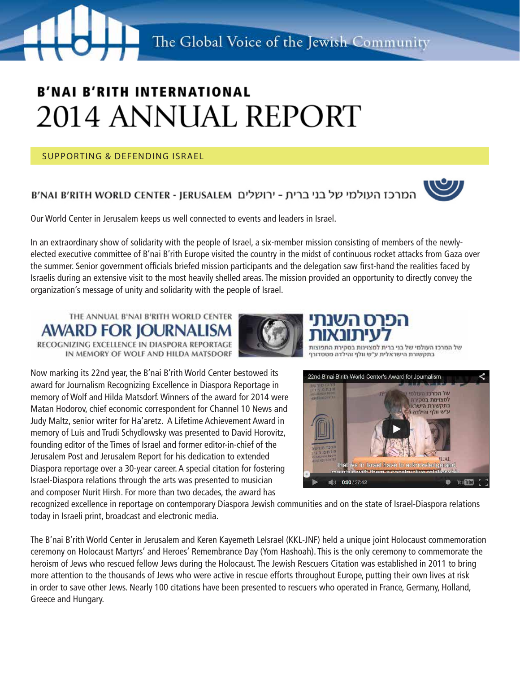Supporting & Defending Israel

### המרכז העולמי של בני ברית - ירושלים B'NAI B'RITH WORLD CENTER - JERUSALEM



Our World Center in Jerusalem keeps us well connected to events and leaders in Israel.

In an extraordinary show of solidarity with the people of Israel, a six-member mission consisting of members of the newlyelected executive committee of B'nai B'rith Europe visited the country in the midst of continuous rocket attacks from Gaza over the summer. Senior government officials briefed mission participants and the delegation saw first-hand the realities faced by Israelis during an extensive visit to the most heavily shelled areas. The mission provided an opportunity to directly convey the organization's message of unity and solidarity with the people of Israel.



IN MEMORY OF WOLF AND HILDA MATSDORF



של המרכז העולמי של בני בר בתקשורת הישראלית ע״ש וולף והילדה מטסדורף

Now marking its 22nd year, the B'nai B'rith World Center bestowed its award for Journalism Recognizing Excellence in Diaspora Reportage in memory of Wolf and Hilda Matsdorf. Winners of the award for 2014 were Matan Hodorov, chief economic correspondent for Channel 10 News and Judy Maltz, senior writer for Ha'aretz. A Lifetime Achievement Award in memory of Luis and Trudi Schydlowsky was presented to David Horovitz, founding editor of the Times of Israel and former editor-in-chief of the Jerusalem Post and Jerusalem Report for his dedication to extended Diaspora reportage over a 30-year career. A special citation for fostering Israel-Diaspora relations through the arts was presented to musician and composer Nurit Hirsh. For more than two decades, the award has



recognized excellence in reportage on contemporary Diaspora Jewish communities and on the state of Israel-Diaspora relations today in Israeli print, broadcast and electronic media.

The B'nai B'rith World Center in Jerusalem and Keren Kayemeth LeIsrael (KKL-JNF) held a unique joint Holocaust commemoration ceremony on Holocaust Martyrs' and Heroes' Remembrance Day (Yom Hashoah). This is the only ceremony to commemorate the heroism of Jews who rescued fellow Jews during the Holocaust. The Jewish Rescuers Citation was established in 2011 to bring more attention to the thousands of Jews who were active in rescue efforts throughout Europe, putting their own lives at risk in order to save other Jews. Nearly 100 citations have been presented to rescuers who operated in France, Germany, Holland, Greece and Hungary.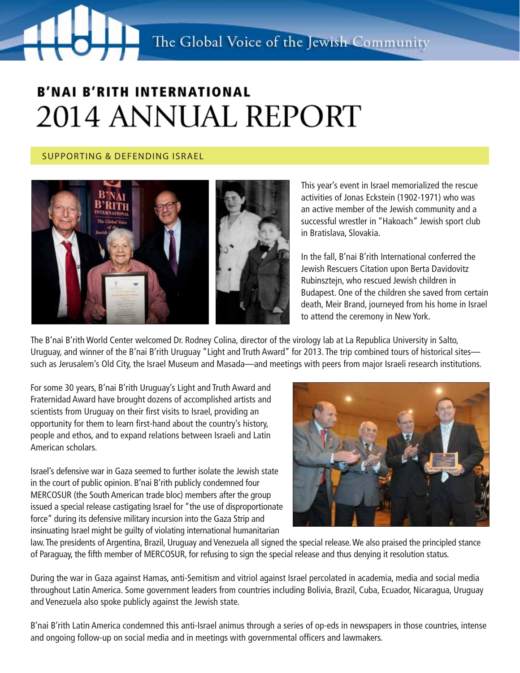### Supporting & Defending Israel



This year's event in Israel memorialized the rescue activities of Jonas Eckstein (1902-1971) who was an active member of the Jewish community and a successful wrestler in "Hakoach" Jewish sport club in Bratislava, Slovakia.

In the fall, B'nai B'rith International conferred the Jewish Rescuers Citation upon Berta Davidovitz Rubinsztejn, who rescued Jewish children in Budapest. One of the children she saved from certain death, Meir Brand, journeyed from his home in Israel to attend the ceremony in New York.

The B'nai B'rith World Center welcomed Dr. Rodney Colina, director of the virology lab at La Republica University in Salto, Uruguay, and winner of the B'nai B'rith Uruguay "Light and Truth Award" for 2013. The trip combined tours of historical sites such as Jerusalem's Old City, the Israel Museum and Masada—and meetings with peers from major Israeli research institutions.

For some 30 years, B'nai B'rith Uruguay's Light and Truth Award and Fraternidad Award have brought dozens of accomplished artists and scientists from Uruguay on their first visits to Israel, providing an opportunity for them to learn first-hand about the country's history, people and ethos, and to expand relations between Israeli and Latin American scholars.

Israel's defensive war in Gaza seemed to further isolate the Jewish state in the court of public opinion. B'nai B'rith publicly condemned four MERCOSUR (the South American trade bloc) members after the group issued a special release castigating Israel for "the use of disproportionate force" during its defensive military incursion into the Gaza Strip and insinuating Israel might be guilty of violating international humanitarian



law. The presidents of Argentina, Brazil, Uruguay and Venezuela all signed the special release. We also praised the principled stance of Paraguay, the fifth member of MERCOSUR, for refusing to sign the special release and thus denying it resolution status.

During the war in Gaza against Hamas, anti-Semitism and vitriol against Israel percolated in academia, media and social media throughout Latin America. Some government leaders from countries including Bolivia, Brazil, Cuba, Ecuador, Nicaragua, Uruguay and Venezuela also spoke publicly against the Jewish state.

B'nai B'rith Latin America condemned this anti-Israel animus through a series of op-eds in newspapers in those countries, intense and ongoing follow-up on social media and in meetings with governmental officers and lawmakers.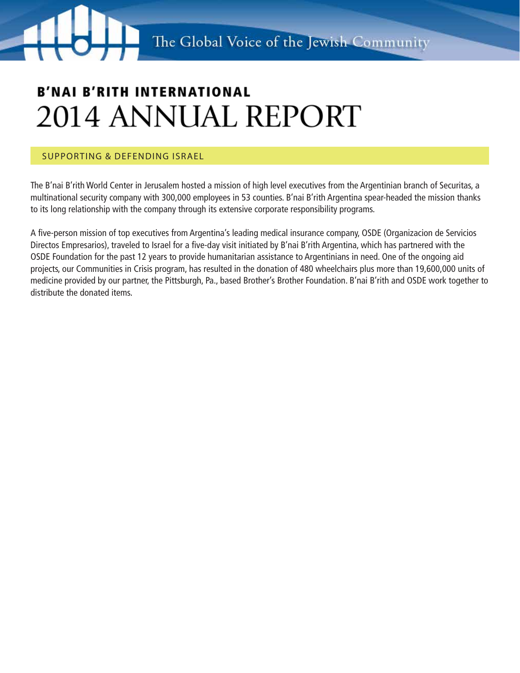### Supporting & Defending Israel

The B'nai B'rith World Center in Jerusalem hosted a mission of high level executives from the Argentinian branch of Securitas, a multinational security company with 300,000 employees in 53 counties. B'nai B'rith Argentina spear-headed the mission thanks to its long relationship with the company through its extensive corporate responsibility programs.

A five-person mission of top executives from Argentina's leading medical insurance company, OSDE (Organizacion de Servicios Directos Empresarios), traveled to Israel for a five-day visit initiated by B'nai B'rith Argentina, which has partnered with the OSDE Foundation for the past 12 years to provide humanitarian assistance to Argentinians in need. One of the ongoing aid projects, our Communities in Crisis program, has resulted in the donation of 480 wheelchairs plus more than 19,600,000 units of medicine provided by our partner, the Pittsburgh, Pa., based Brother's Brother Foundation. B'nai B'rith and OSDE work together to distribute the donated items.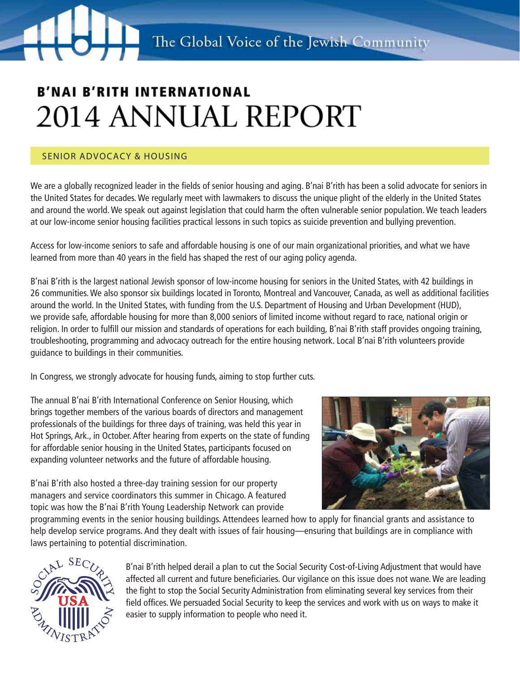### Senior advocacy & Housing

We are a globally recognized leader in the fields of senior housing and aging. B'nai B'rith has been a solid advocate for seniors in the United States for decades. We regularly meet with lawmakers to discuss the unique plight of the elderly in the United States and around the world. We speak out against legislation that could harm the often vulnerable senior population. We teach leaders at our low-income senior housing facilities practical lessons in such topics as suicide prevention and bullying prevention.

Access for low-income seniors to safe and affordable housing is one of our main organizational priorities, and what we have learned from more than 40 years in the field has shaped the rest of our aging policy agenda.

B'nai B'rith is the largest national Jewish sponsor of low-income housing for seniors in the United States, with 42 buildings in 26 communities. We also sponsor six buildings located in Toronto, Montreal and Vancouver, Canada, as well as additional facilities around the world. In the United States, with funding from the U.S. Department of Housing and Urban Development (HUD), we provide safe, affordable housing for more than 8,000 seniors of limited income without regard to race, national origin or religion. In order to fulfill our mission and standards of operations for each building, B'nai B'rith staff provides ongoing training, troubleshooting, programming and advocacy outreach for the entire housing network. Local B'nai B'rith volunteers provide guidance to buildings in their communities.

In Congress, we strongly advocate for housing funds, aiming to stop further cuts.

The annual B'nai B'rith International Conference on Senior Housing, which brings together members of the various boards of directors and management professionals of the buildings for three days of training, was held this year in Hot Springs, Ark., in October. After hearing from experts on the state of funding for affordable senior housing in the United States, participants focused on expanding volunteer networks and the future of affordable housing.

B'nai B'rith also hosted a three-day training session for our property managers and service coordinators this summer in Chicago. A featured topic was how the B'nai B'rith Young Leadership Network can provide



programming events in the senior housing buildings. Attendees learned how to apply for financial grants and assistance to help develop service programs. And they dealt with issues of fair housing—ensuring that buildings are in compliance with laws pertaining to potential discrimination.



B'nai B'rith helped derail a plan to cut the Social Security Cost-of-Living Adjustment that would have affected all current and future beneficiaries. Our vigilance on this issue does not wane. We are leading the fight to stop the Social Security Administration from eliminating several key services from their field offices. We persuaded Social Security to keep the services and work with us on ways to make it easier to supply information to people who need it.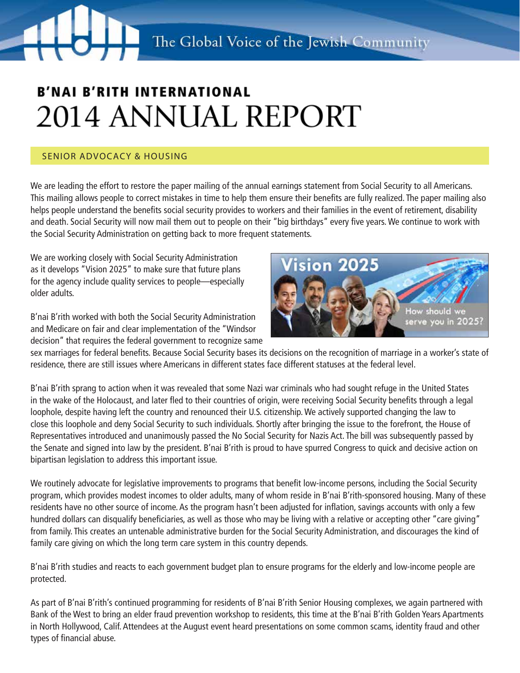### Senior advocacy & Housing

We are leading the effort to restore the paper mailing of the annual earnings statement from Social Security to all Americans. This mailing allows people to correct mistakes in time to help them ensure their benefits are fully realized. The paper mailing also helps people understand the benefits social security provides to workers and their families in the event of retirement, disability and death. Social Security will now mail them out to people on their "big birthdays" every five years. We continue to work with the Social Security Administration on getting back to more frequent statements.

We are working closely with Social Security Administration as it develops "Vision 2025" to make sure that future plans for the agency include quality services to people—especially older adults.

B'nai B'rith worked with both the Social Security Administration and Medicare on fair and clear implementation of the "Windsor decision" that requires the federal government to recognize same



sex marriages for federal benefits. Because Social Security bases its decisions on the recognition of marriage in a worker's state of residence, there are still issues where Americans in different states face different statuses at the federal level.

B'nai B'rith sprang to action when it was revealed that some Nazi war criminals who had sought refuge in the United States in the wake of the Holocaust, and later fled to their countries of origin, were receiving Social Security benefits through a legal loophole, despite having left the country and renounced their U.S. citizenship. We actively supported changing the law to close this loophole and deny Social Security to such individuals. Shortly after bringing the issue to the forefront, the House of Representatives introduced and unanimously passed the No Social Security for Nazis Act. The bill was subsequently passed by the Senate and signed into law by the president. B'nai B'rith is proud to have spurred Congress to quick and decisive action on bipartisan legislation to address this important issue.

We routinely advocate for legislative improvements to programs that benefit low-income persons, including the Social Security program, which provides modest incomes to older adults, many of whom reside in B'nai B'rith-sponsored housing. Many of these residents have no other source of income. As the program hasn't been adjusted for inflation, savings accounts with only a few hundred dollars can disqualify beneficiaries, as well as those who may be living with a relative or accepting other "care giving" from family. This creates an untenable administrative burden for the Social Security Administration, and discourages the kind of family care giving on which the long term care system in this country depends.

B'nai B'rith studies and reacts to each government budget plan to ensure programs for the elderly and low-income people are protected.

As part of B'nai B'rith's continued programming for residents of B'nai B'rith Senior Housing complexes, we again partnered with Bank of the West to bring an elder fraud prevention workshop to residents, this time at the B'nai B'rith Golden Years Apartments in North Hollywood, Calif. Attendees at the August event heard presentations on some common scams, identity fraud and other types of financial abuse.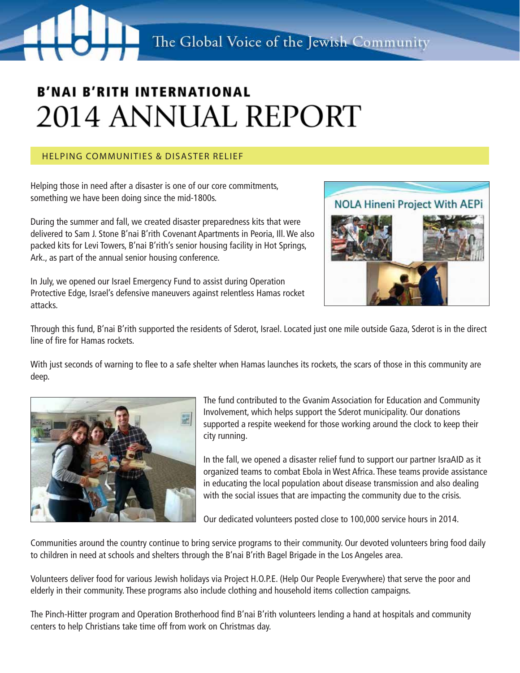### Helping Communities & disaster relief

Helping those in need after a disaster is one of our core commitments, something we have been doing since the mid-1800s.

During the summer and fall, we created disaster preparedness kits that were delivered to Sam J. Stone B'nai B'rith Covenant Apartments in Peoria, Ill. We also packed kits for Levi Towers, B'nai B'rith's senior housing facility in Hot Springs, Ark., as part of the annual senior housing conference.

In July, we opened our Israel Emergency Fund to assist during Operation Protective Edge, Israel's defensive maneuvers against relentless Hamas rocket attacks.



Through this fund, B'nai B'rith supported the residents of Sderot, Israel. Located just one mile outside Gaza, Sderot is in the direct line of fire for Hamas rockets.

With just seconds of warning to flee to a safe shelter when Hamas launches its rockets, the scars of those in this community are deep.



The fund contributed to the Gvanim Association for Education and Community Involvement, which helps support the Sderot municipality. Our donations supported a respite weekend for those working around the clock to keep their city running.

In the fall, we opened a disaster relief fund to support our partner IsraAID as it organized teams to combat Ebola in West Africa. These teams provide assistance in educating the local population about disease transmission and also dealing with the social issues that are impacting the community due to the crisis.

Our dedicated volunteers posted close to 100,000 service hours in 2014.

Communities around the country continue to bring service programs to their community. Our devoted volunteers bring food daily to children in need at schools and shelters through the B'nai B'rith Bagel Brigade in the Los Angeles area.

Volunteers deliver food for various Jewish holidays via Project H.O.P.E. (Help Our People Everywhere) that serve the poor and elderly in their community. These programs also include clothing and household items collection campaigns.

The Pinch-Hitter program and Operation Brotherhood find B'nai B'rith volunteers lending a hand at hospitals and community centers to help Christians take time off from work on Christmas day.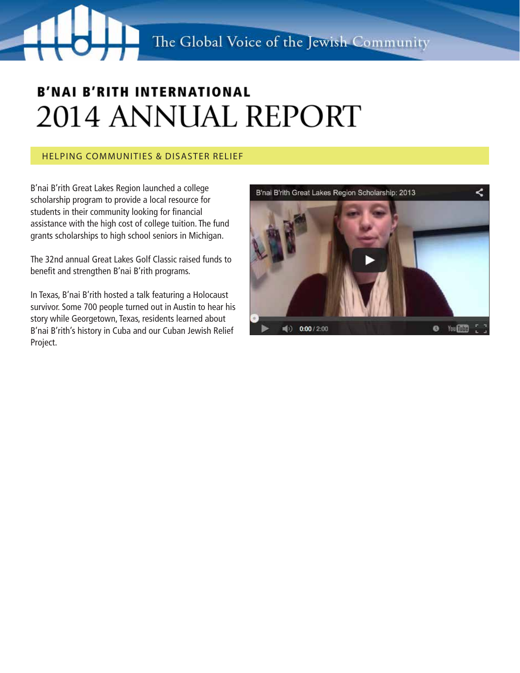### Helping Communities & disaster relief

B'nai B'rith Great Lakes Region launched a college scholarship program to provide a local resource for students in their community looking for financial assistance with the high cost of college tuition. The fund grants scholarships to high school seniors in Michigan.

The 32nd annual Great Lakes Golf Classic raised funds to benefit and strengthen B'nai B'rith programs.

In Texas, B'nai B'rith hosted a talk featuring a Holocaust survivor. Some 700 people turned out in Austin to hear his story while Georgetown, Texas, residents learned about B'nai B'rith's history in Cuba and our Cuban Jewish Relief Project.

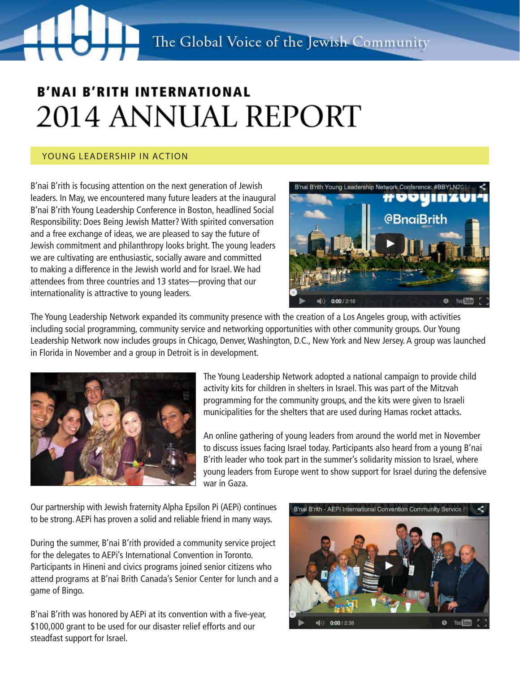### YOUNG LEADERSHIP IN ACTION

B'nai B'rith is focusing attention on the next generation of Jewish leaders. In May, we encountered many future leaders at the inaugural B'nai B'rith Young Leadership Conference in Boston, headlined Social Responsibility: Does Being Jewish Matter? With spirited conversation and a free exchange of ideas, we are pleased to say the future of Jewish commitment and philanthropy looks bright. The young leaders we are cultivating are enthusiastic, socially aware and committed to making a difference in the Jewish world and for Israel. We had attendees from three countries and 13 states—proving that our internationality is attractive to young leaders.



The Young Leadership Network expanded its community presence with the creation of a Los Angeles group, with activities including social programming, community service and networking opportunities with other community groups. Our Young Leadership Network now includes groups in Chicago, Denver, Washington, D.C., New York and New Jersey. A group was launched in Florida in November and a group in Detroit is in development.



The Young Leadership Network adopted a national campaign to provide child activity kits for children in shelters in Israel. This was part of the Mitzvah programming for the community groups, and the kits were given to Israeli municipalities for the shelters that are used during Hamas rocket attacks.

An online gathering of young leaders from around the world met in November to discuss issues facing Israel today. Participants also heard from a young B'nai B'rith leader who took part in the summer's solidarity mission to Israel, where young leaders from Europe went to show support for Israel during the defensive war in Gaza.

Our partnership with Jewish fraternity Alpha Epsilon Pi (AEPi) continues to be strong. AEPi has proven a solid and reliable friend in many ways.

During the summer, B'nai B'rith provided a community service project for the delegates to AEPi's International Convention in Toronto. Participants in Hineni and civics programs joined senior citizens who attend programs at B'nai Brith Canada's Senior Center for lunch and a game of Bingo.

B'nai B'rith was honored by AEPi at its convention with a five-year, \$100,000 grant to be used for our disaster relief efforts and our steadfast support for Israel.

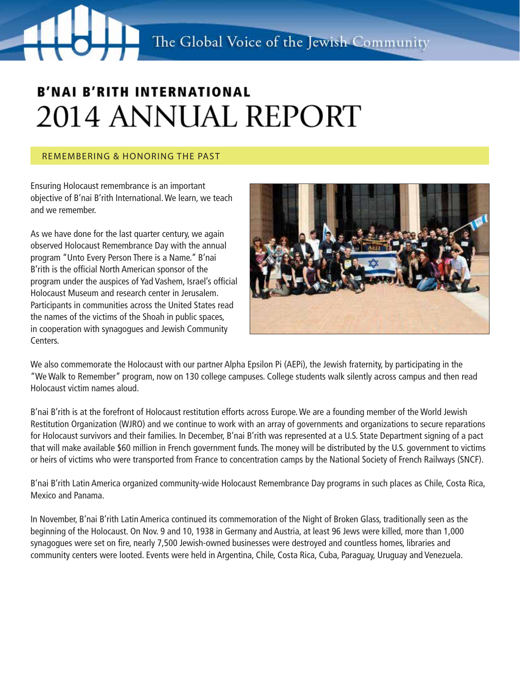#### Remembering & Honoring the Past

Ensuring Holocaust remembrance is an important objective of B'nai B'rith International. We learn, we teach and we remember.

As we have done for the last quarter century, we again observed Holocaust Remembrance Day with the annual program "Unto Every Person There is a Name." B'nai B'rith is the official North American sponsor of the program under the auspices of Yad Vashem, Israel's official Holocaust Museum and research center in Jerusalem. Participants in communities across the United States read the names of the victims of the Shoah in public spaces, in cooperation with synagogues and Jewish Community Centers.



We also commemorate the Holocaust with our partner Alpha Epsilon Pi (AEPi), the Jewish fraternity, by participating in the "We Walk to Remember" program, now on 130 college campuses. College students walk silently across campus and then read Holocaust victim names aloud.

B'nai B'rith is at the forefront of Holocaust restitution efforts across Europe. We are a founding member of the World Jewish Restitution Organization (WJRO) and we continue to work with an array of governments and organizations to secure reparations for Holocaust survivors and their families. In December, B'nai B'rith was represented at a U.S. State Department signing of a pact that will make available \$60 million in French government funds. The money will be distributed by the U.S. government to victims or heirs of victims who were transported from France to concentration camps by the National Society of French Railways (SNCF).

B'nai B'rith Latin America organized community-wide Holocaust Remembrance Day programs in such places as Chile, Costa Rica, Mexico and Panama.

In November, B'nai B'rith Latin America continued its commemoration of the Night of Broken Glass, traditionally seen as the beginning of the Holocaust. On Nov. 9 and 10, 1938 in Germany and Austria, at least 96 Jews were killed, more than 1,000 synagogues were set on fire, nearly 7,500 Jewish-owned businesses were destroyed and countless homes, libraries and community centers were looted. Events were held in Argentina, Chile, Costa Rica, Cuba, Paraguay, Uruguay and Venezuela.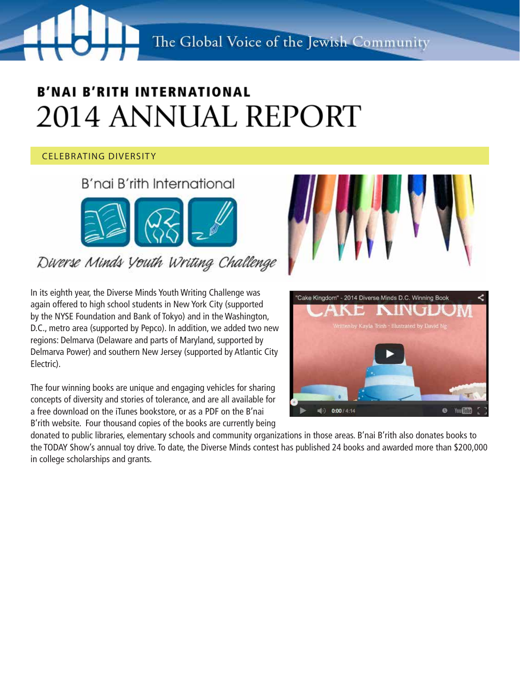The Global Voice of the Jewish Community

# **B'NAI B'RITH INTERNATIONAL** 2014 ANNUAL REPORT

### CELEBRATING DIVERSITY

B'nai B'rith International

Diverse Minds Youth Writing Challenge

In its eighth year, the Diverse Minds Youth Writing Challenge was again offered to high school students in New York City (supported by the NYSE Foundation and Bank of Tokyo) and in the Washington, D.C., metro area (supported by Pepco). In addition, we added two new regions: Delmarva (Delaware and parts of Maryland, supported by Delmarva Power) and southern New Jersey (supported by Atlantic City Electric).

The four winning books are unique and engaging vehicles for sharing concepts of diversity and stories of tolerance, and are all available for a free download on the iTunes bookstore, or as a PDF on the B'nai B'rith website. Four thousand copies of the books are currently being

donated to public libraries, elementary schools and community organizations in those areas. B'nai B'rith also donates books to the TODAY Show's annual toy drive. To date, the Diverse Minds contest has published 24 books and awarded more than \$200,000 in college scholarships and grants.



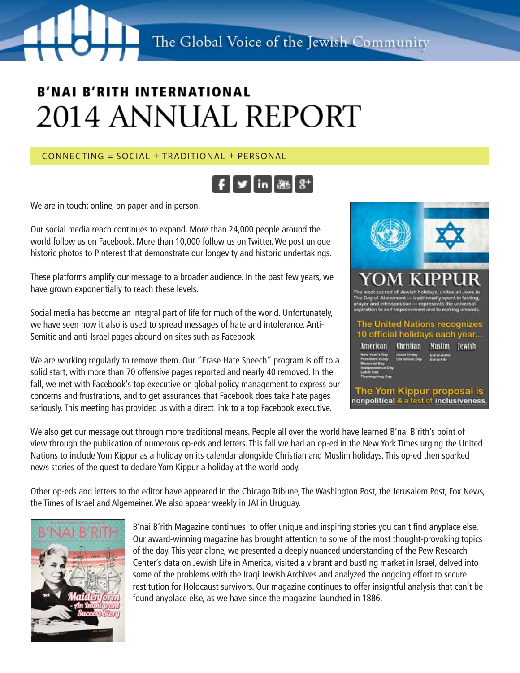### $CONNETING = SOLAI + TRADITIONAI + PFRSONAI$



We are in touch: online, on paper and in person.

Our social media reach continues to expand. More than 24,000 people around the world follow us on Facebook. More than 10,000 follow us on Twitter. We post unique historic photos to Pinterest that demonstrate our longevity and historic undertakings.

These platforms amplify our message to a broader audience. In the past few years, we have grown exponentially to reach these levels.

Social media has become an integral part of life for much of the world. Unfortunately, we have seen how it also is used to spread messages of hate and intolerance. Anti-Semitic and anti-Israel pages abound on sites such as Facebook.

We are working regularly to remove them. Our "Erase Hate Speech" program is off to a solid start, with more than 70 offensive pages reported and nearly 40 removed. In the fall, we met with Facebook's top executive on global policy management to express our concerns and frustrations, and to get assurances that Facebook does take hate pages seriously. This meeting has provided us with a direct link to a top Facebook executive.



We also get our message out through more traditional means. People all over the world have learned B'nai B'rith's point of view through the publication of numerous op-eds and letters. This fall we had an op-ed in the New York Times urging the United Nations to include Yom Kippur as a holiday on its calendar alongside Christian and Muslim holidays. This op-ed then sparked news stories of the quest to declare Yom Kippur a holiday at the world body.

Other op-eds and letters to the editor have appeared in the Chicago Tribune, The Washington Post, the Jerusalem Post, Fox News, the Times of Israel and Algemeiner. We also appear weekly in JAI in Uruguay.



B'nai B'rith Magazine continues to offer unique and inspiring stories you can't find anyplace else. Our award-winning magazine has brought attention to some of the most thought-provoking topics of the day. This year alone, we presented a deeply nuanced understanding of the Pew Research Center's data on Jewish Life in America, visited a vibrant and bustling market in Israel, delved into some of the problems with the Iraqi Jewish Archives and analyzed the ongoing effort to secure restitution for Holocaust survivors. Our magazine continues to offer insightful analysis that can't be found anyplace else, as we have since the magazine launched in 1886.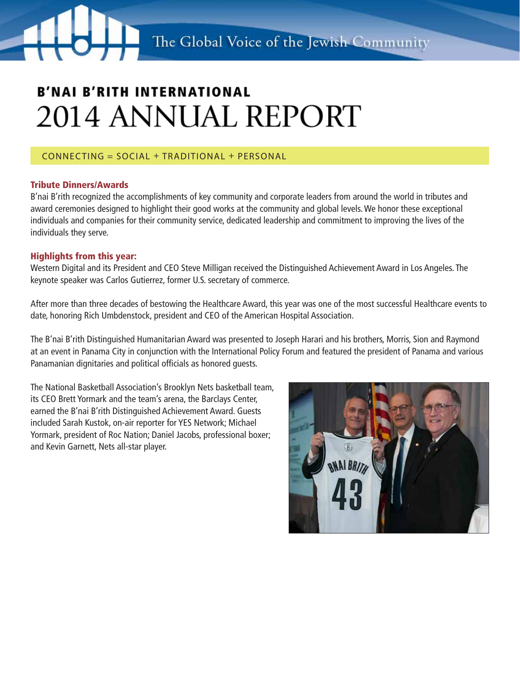#### CONNECTing = Social + Traditional + Personal

#### Tribute Dinners/Awards

B'nai B'rith recognized the accomplishments of key community and corporate leaders from around the world in tributes and award ceremonies designed to highlight their good works at the community and global levels. We honor these exceptional individuals and companies for their community service, dedicated leadership and commitment to improving the lives of the individuals they serve.

#### Highlights from this year:

Western Digital and its President and CEO Steve Milligan received the Distinguished Achievement Award in Los Angeles. The keynote speaker was Carlos Gutierrez, former U.S. secretary of commerce.

After more than three decades of bestowing the Healthcare Award, this year was one of the most successful Healthcare events to date, honoring Rich Umbdenstock, president and CEO of the American Hospital Association.

The B'nai B'rith Distinguished Humanitarian Award was presented to Joseph Harari and his brothers, Morris, Sion and Raymond at an event in Panama City in conjunction with the International Policy Forum and featured the president of Panama and various Panamanian dignitaries and political officials as honored guests.

The National Basketball Association's Brooklyn Nets basketball team, its CEO Brett Yormark and the team's arena, the Barclays Center, earned the B'nai B'rith Distinguished Achievement Award. Guests included Sarah Kustok, on-air reporter for YES Network; Michael Yormark, president of Roc Nation; Daniel Jacobs, professional boxer; and Kevin Garnett, Nets all-star player.

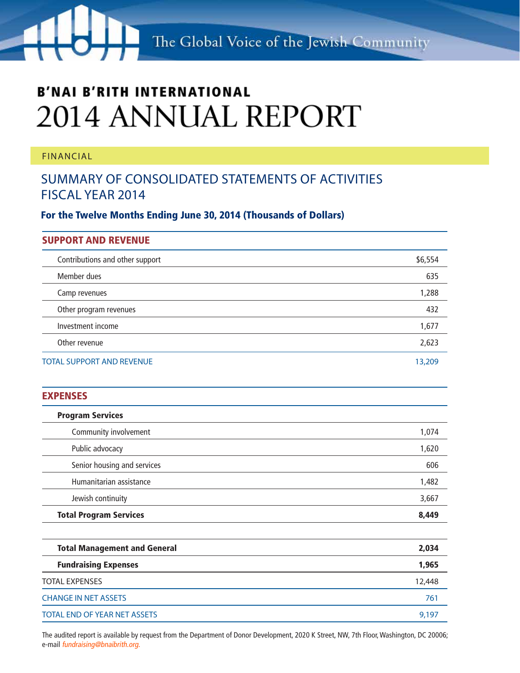The Global Voice of the Jewish Community

### **B'NAI B'RITH INTERNATIONAL** 2014 ANNUAL REPORT

#### FINANCIAL

### Summary of Consolidated Statements of Activities Fiscal Year 2014

For the Twelve Months Ending June 30, 2014 (Thousands of Dollars)

| <b>SUPPORT AND REVENUE</b>          |         |
|-------------------------------------|---------|
| Contributions and other support     | \$6,554 |
| Member dues                         | 635     |
| Camp revenues                       | 1,288   |
| Other program revenues              | 432     |
| Investment income                   | 1,677   |
| Other revenue                       | 2,623   |
| <b>TOTAL SUPPORT AND REVENUE</b>    | 13,209  |
| <b>EXPENSES</b>                     |         |
| <b>Program Services</b>             |         |
| Community involvement               | 1,074   |
| Public advocacy                     | 1,620   |
| Senior housing and services         | 606     |
| Humanitarian assistance             | 1,482   |
| Jewish continuity                   | 3,667   |
| <b>Total Program Services</b>       | 8,449   |
|                                     |         |
| <b>Total Management and General</b> | 2,034   |
| <b>Fundraising Expenses</b>         | 1,965   |
| <b>TOTAL EXPENSES</b>               | 12,448  |
| <b>CHANGE IN NET ASSETS</b>         | 761     |

The audited report is available by request from the Department of Donor Development, 2020 K Street, NW, 7th Floor, Washington, DC 20006; e-mail fundraising@bnaibrith.org.

TOTAL END OF YEAR NET ASSETS 9,197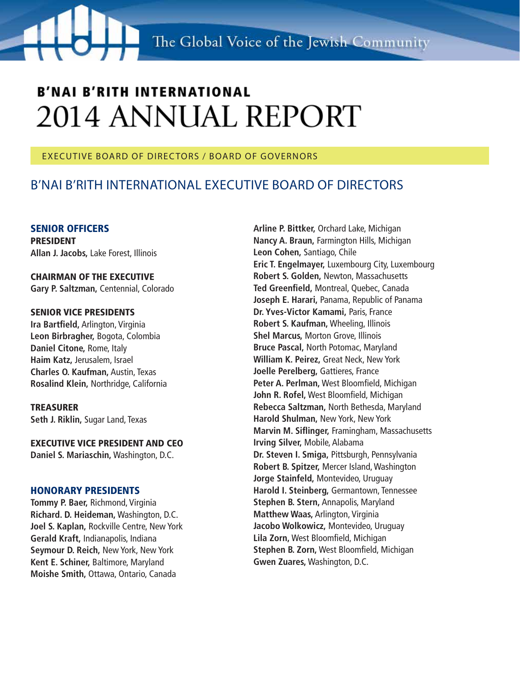#### EXECUTIVE BOARD OF DIRECTORS / BOARD OF GOVERNORS

### B'NAI B'RITH INTERNATIONAL EXECUTIVE Board of Directors

SENIOR OFFICERS PRESIDENT **Allan J. Jacobs,** Lake Forest, Illinois

CHAIRMAN OF THE EXECUTIVE **Gary P. Saltzman,** Centennial, Colorado

#### SENIOR VICE PRESIDENTS

**Ira Bartfield,** Arlington, Virginia **Leon Birbragher,** Bogota, Colombia **Daniel Citone,** Rome, Italy **Haim Katz,** Jerusalem, Israel **Charles O. Kaufman,** Austin, Texas **Rosalind Klein,** Northridge, California

TREASURER **Seth J. Riklin,** Sugar Land, Texas

EXECUTIVE VICE PRESIDENT AND CEO **Daniel S. Mariaschin,** Washington, D.C.

#### HONORARY PRESIDENTS

**Tommy P. Baer,** Richmond, Virginia **Richard. D. Heideman,** Washington, D.C. **Joel S. Kaplan,** Rockville Centre, New York **Gerald Kraft,** Indianapolis, Indiana **Seymour D. Reich,** New York, New York **Kent E. Schiner,** Baltimore, Maryland **Moishe Smith,** Ottawa, Ontario, Canada

**Arline P. Bittker,** Orchard Lake, Michigan **Nancy A. Braun,** Farmington Hills, Michigan **Leon Cohen,** Santiago, Chile **Eric T. Engelmayer,** Luxembourg City, Luxembourg **Robert S. Golden,** Newton, Massachusetts **Ted Greenfield,** Montreal, Quebec, Canada **Joseph E. Harari,** Panama, Republic of Panama **Dr. Yves-Victor Kamami,** Paris, France **Robert S. Kaufman,** Wheeling, Illinois **Shel Marcus,** Morton Grove, Illinois **Bruce Pascal,** North Potomac, Maryland **William K. Peirez,** Great Neck, New York **Joelle Perelberg,** Gattieres, France **Peter A. Perlman,** West Bloomfield, Michigan **John R. Rofel,** West Bloomfield, Michigan **Rebecca Saltzman,** North Bethesda, Maryland **Harold Shulman,** New York, New York **Marvin M. Siflinger,** Framingham, Massachusetts **Irving Silver,** Mobile, Alabama **Dr. Steven I. Smiga,** Pittsburgh, Pennsylvania **Robert B. Spitzer,** Mercer Island, Washington **Jorge Stainfeld,** Montevideo, Uruguay **Harold I. Steinberg,** Germantown, Tennessee **Stephen B. Stern,** Annapolis, Maryland **Matthew Waas,** Arlington, Virginia **Jacobo Wolkowicz,** Montevideo, Uruguay **Lila Zorn,** West Bloomfield, Michigan **Stephen B. Zorn,** West Bloomfield, Michigan **Gwen Zuares,** Washington, D.C.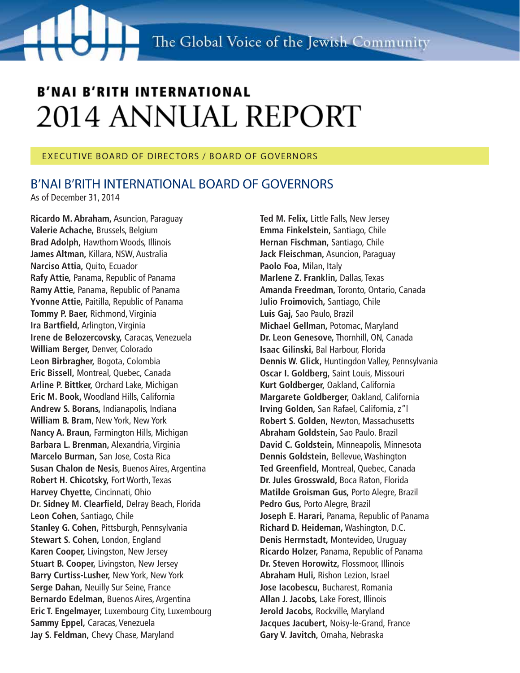#### EXECUTIVE BOARD OF DIRECTORS / BOARD OF GOVERNORS

### B'NAI B'RITH INTERNATIONAL BOARD OF GOVERNORS

As of December 31, 2014

**Ricardo M. Abraham,** Asuncion, Paraguay **Valerie Achache,** Brussels, Belgium **Brad Adolph,** Hawthorn Woods, Illinois **James Altman,** Killara, NSW, Australia **Narciso Attia,** Quito, Ecuador **Rafy Attie,** Panama, Republic of Panama **Ramy Attie,** Panama, Republic of Panama **Yvonne Attie,** Paitilla, Republic of Panama **Tommy P. Baer,** Richmond, Virginia **Ira Bartfield,** Arlington, Virginia **Irene de Belozercovsky,** Caracas, Venezuela **William Berger,** Denver, Colorado **Leon Birbragher,** Bogota, Colombia **Eric Bissell,** Montreal, Quebec, Canada **Arline P. Bittker,** Orchard Lake, Michigan **Eric M. Book,** Woodland Hills, California **Andrew S. Borans,** Indianapolis, Indiana **William B. Bram**, New York, New York **Nancy A. Braun,** Farmington Hills, Michigan **Barbara L. Brenman,** Alexandria, Virginia **Marcelo Burman,** San Jose, Costa Rica **Susan Chalon de Nesis**, Buenos Aires, Argentina **Robert H. Chicotsky,** Fort Worth, Texas **Harvey Chyette,** Cincinnati, Ohio **Dr. Sidney M. Clearfield,** Delray Beach, Florida **Leon Cohen,** Santiago, Chile **Stanley G. Cohen,** Pittsburgh, Pennsylvania **Stewart S. Cohen,** London, England **Karen Cooper,** Livingston, New Jersey **Stuart B. Cooper,** Livingston, New Jersey **Barry Curtiss-Lusher,** New York, New York **Serge Dahan,** Neuilly Sur Seine, France **Bernardo Edelman,** Buenos Aires, Argentina **Eric T. Engelmayer,** Luxembourg City, Luxembourg **Sammy Eppel,** Caracas, Venezuela **Jay S. Feldman,** Chevy Chase, Maryland

**Ted M. Felix,** Little Falls, New Jersey **Emma Finkelstein,** Santiago, Chile **Hernan Fischman,** Santiago, Chile **Jack Fleischman,** Asuncion, Paraguay **Paolo Foa,** Milan, Italy **Marlene Z. Franklin,** Dallas, Texas **Amanda Freedman,** Toronto, Ontario, Canada J**ulio Froimovich,** Santiago, Chile **Luis Gaj,** Sao Paulo, Brazil **Michael Gellman,** Potomac, Maryland **Dr. Leon Genesove,** Thornhill, ON, Canada **Isaac Gilinski,** Bal Harbour, Florida **Dennis W. Glick,** Huntingdon Valley, Pennsylvania **Oscar I. Goldberg,** Saint Louis, Missouri **Kurt Goldberger,** Oakland, California **Margarete Goldberger,** Oakland, California **Irving Golden,** San Rafael, California, z"l **Robert S. Golden,** Newton, Massachusetts **Abraham Goldstein,** Sao Paulo. Brazil **David C. Goldstein,** Minneapolis, Minnesota **Dennis Goldstein,** Bellevue, Washington **Ted Greenfield,** Montreal, Quebec, Canada **Dr. Jules Grosswald,** Boca Raton, Florida **Matilde Groisman Gus,** Porto Alegre, Brazil **Pedro Gus,** Porto Alegre, Brazil **Joseph E. Harari,** Panama, Republic of Panama **Richard D. Heideman,** Washington, D.C. **Denis Herrnstadt,** Montevideo, Uruguay **Ricardo Holzer,** Panama, Republic of Panama **Dr. Steven Horowitz,** Flossmoor, Illinois **Abraham Huli,** Rishon Lezion, Israel **Jose Iacobescu,** Bucharest, Romania **Allan J. Jacobs,** Lake Forest, Illinois **Jerold Jacobs,** Rockville, Maryland **Jacques Jacubert,** Noisy-le-Grand, France **Gary V. Javitch,** Omaha, Nebraska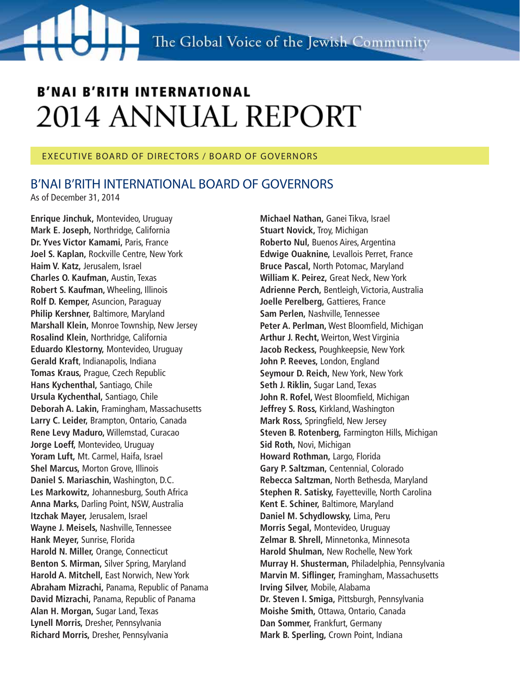#### EXECUTIVE BOARD OF DIRECTORS / BOARD OF GOVERNORS

### B'NAI B'RITH INTERNATIONAL BOARD OF GOVERNORS

As of December 31, 2014

**Enrique Jinchuk,** Montevideo, Uruguay **Mark E. Joseph,** Northridge, California **Dr. Yves Victor Kamami,** Paris, France **Joel S. Kaplan,** Rockville Centre, New York **Haim V. Katz,** Jerusalem, Israel **Charles O. Kaufman,** Austin, Texas **Robert S. Kaufman,** Wheeling, Illinois **Rolf D. Kemper,** Asuncion, Paraguay **Philip Kershner,** Baltimore, Maryland **Marshall Klein,** Monroe Township, New Jersey **Rosalind Klein,** Northridge, California **Eduardo Klestorny,** Montevideo, Uruguay **Gerald Kraft**, Indianapolis, Indiana **Tomas Kraus,** Prague, Czech Republic **Hans Kychenthal,** Santiago, Chile **Ursula Kychenthal,** Santiago, Chile **Deborah A. Lakin,** Framingham, Massachusetts **Larry C. Leider,** Brampton, Ontario, Canada **Rene Levy Maduro,** Willemstad, Curacao **Jorge Loeff,** Montevideo, Uruguay **Yoram Luft,** Mt. Carmel, Haifa, Israel **Shel Marcus,** Morton Grove, Illinois **Daniel S. Mariaschin,** Washington, D.C. **Les Markowitz,** Johannesburg, South Africa **Anna Marks,** Darling Point, NSW, Australia **Itzchak Mayer,** Jerusalem, Israel **Wayne J. Meisels,** Nashville, Tennessee **Hank Meyer,** Sunrise, Florida **Harold N. Miller,** Orange, Connecticut **Benton S. Mirman,** Silver Spring, Maryland **Harold A. Mitchell,** East Norwich, New York **Abraham Mizrachi,** Panama, Republic of Panama **David Mizrachi,** Panama, Republic of Panama **Alan H. Morgan,** Sugar Land, Texas **Lynell Morris,** Dresher, Pennsylvania **Richard Morris,** Dresher, Pennsylvania

**Michael Nathan,** Ganei Tikva, Israel **Stuart Novick,** Troy, Michigan **Roberto Nul,** Buenos Aires, Argentina **Edwige Ouaknine,** Levallois Perret, France **Bruce Pascal,** North Potomac, Maryland **William K. Peirez,** Great Neck, New York **Adrienne Perch,** Bentleigh, Victoria, Australia **Joelle Perelberg,** Gattieres, France **Sam Perlen,** Nashville, Tennessee **Peter A. Perlman,** West Bloomfield, Michigan **Arthur J. Recht,** Weirton, West Virginia **Jacob Reckess,** Poughkeepsie, New York **John P. Reeves,** London, England **Seymour D. Reich,** New York, New York **Seth J. Riklin,** Sugar Land, Texas **John R. Rofel,** West Bloomfield, Michigan **Jeffrey S. Ross,** Kirkland, Washington **Mark Ross,** Springfield, New Jersey **Steven B. Rotenberg,** Farmington Hills, Michigan **Sid Roth,** Novi, Michigan **Howard Rothman,** Largo, Florida **Gary P. Saltzman,** Centennial, Colorado **Rebecca Saltzman,** North Bethesda, Maryland **Stephen R. Satisky,** Fayetteville, North Carolina **Kent E. Schiner,** Baltimore, Maryland **Daniel M. Schydlowsky,** Lima, Peru **Morris Segal,** Montevideo, Uruguay **Zelmar B. Shrell,** Minnetonka, Minnesota **Harold Shulman,** New Rochelle, New York **Murray H. Shusterman,** Philadelphia, Pennsylvania **Marvin M. Siflinger,** Framingham, Massachusetts **Irving Silver,** Mobile, Alabama **Dr. Steven I. Smiga,** Pittsburgh, Pennsylvania **Moishe Smith,** Ottawa, Ontario, Canada **Dan Sommer,** Frankfurt, Germany **Mark B. Sperling,** Crown Point, Indiana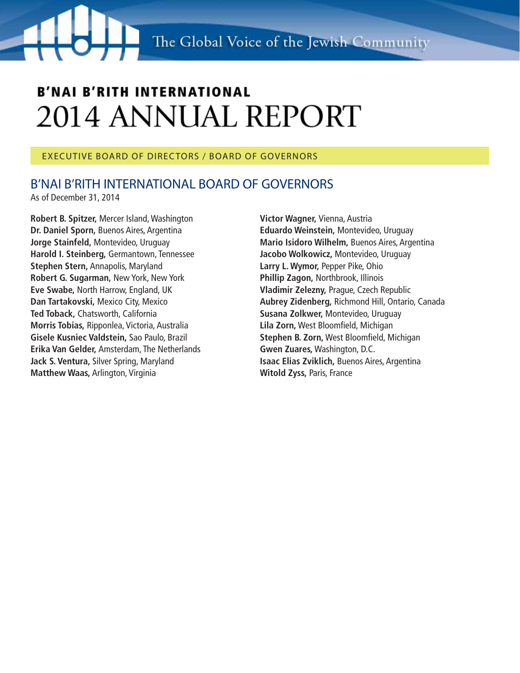#### EXECUTIVE BOARD OF DIRECTORS / BOARD OF GOVERNORS

### B'NAI B'RITH INTERNATIONAL BOARD OF GOVERNORS

As of December 31, 2014

**Robert B. Spitzer,** Mercer Island, Washington **Dr. Daniel Sporn,** Buenos Aires, Argentina **Jorge Stainfeld,** Montevideo, Uruguay **Harold I. Steinberg,** Germantown, Tennessee **Stephen Stern,** Annapolis, Maryland **Robert G. Sugarman,** New York, New York **Eve Swabe,** North Harrow, England, UK **Dan Tartakovski,** Mexico City, Mexico **Ted Toback,** Chatsworth, California **Morris Tobias,** Ripponlea, Victoria, Australia **Gisele Kusniec Valdstein,** Sao Paulo, Brazil **Erika Van Gelder,** Amsterdam, The Netherlands **Jack S. Ventura,** Silver Spring, Maryland **Matthew Waas,** Arlington, Virginia

**Victor Wagner,** Vienna, Austria **Eduardo Weinstein,** Montevideo, Uruguay **Mario Isidoro Wilhelm,** Buenos Aires, Argentina **Jacobo Wolkowicz,** Montevideo, Uruguay **Larry L. Wymor,** Pepper Pike, Ohio **Phillip Zagon,** Northbrook, Illinois **Vladimir Zelezny,** Prague, Czech Republic **Aubrey Zidenberg,** Richmond Hill, Ontario, Canada **Susana Zolkwer,** Montevideo, Uruguay **Lila Zorn,** West Bloomfield, Michigan **Stephen B. Zorn,** West Bloomfield, Michigan **Gwen Zuares,** Washington, D.C. **Isaac Elias Zviklich,** Buenos Aires, Argentina **Witold Zyss,** Paris, France